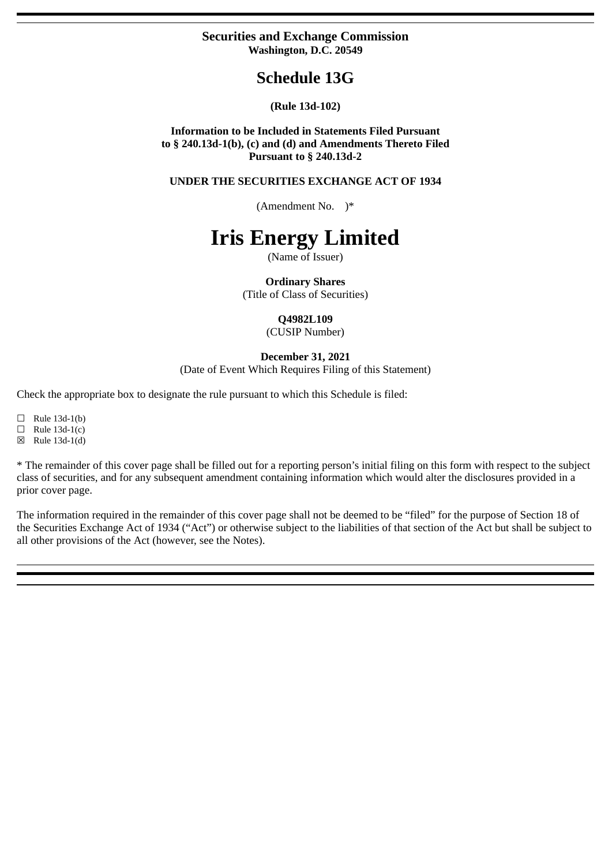## **Securities and Exchange Commission Washington, D.C. 20549**

## **Schedule 13G**

## **(Rule 13d-102)**

**Information to be Included in Statements Filed Pursuant to § 240.13d-1(b), (c) and (d) and Amendments Thereto Filed Pursuant to § 240.13d-2**

**UNDER THE SECURITIES EXCHANGE ACT OF 1934**

(Amendment No. )\*

# **Iris Energy Limited**

(Name of Issuer)

**Ordinary Shares**

(Title of Class of Securities)

### **Q4982L109**

(CUSIP Number)

### **December 31, 2021**

(Date of Event Which Requires Filing of this Statement)

Check the appropriate box to designate the rule pursuant to which this Schedule is filed:

 $\Box$  Rule 13d-1(b)

 $\Box$  Rule 13d-1(c)

☒ Rule 13d-1(d)

\* The remainder of this cover page shall be filled out for a reporting person's initial filing on this form with respect to the subject class of securities, and for any subsequent amendment containing information which would alter the disclosures provided in a prior cover page.

The information required in the remainder of this cover page shall not be deemed to be "filed" for the purpose of Section 18 of the Securities Exchange Act of 1934 ("Act") or otherwise subject to the liabilities of that section of the Act but shall be subject to all other provisions of the Act (however, see the Notes).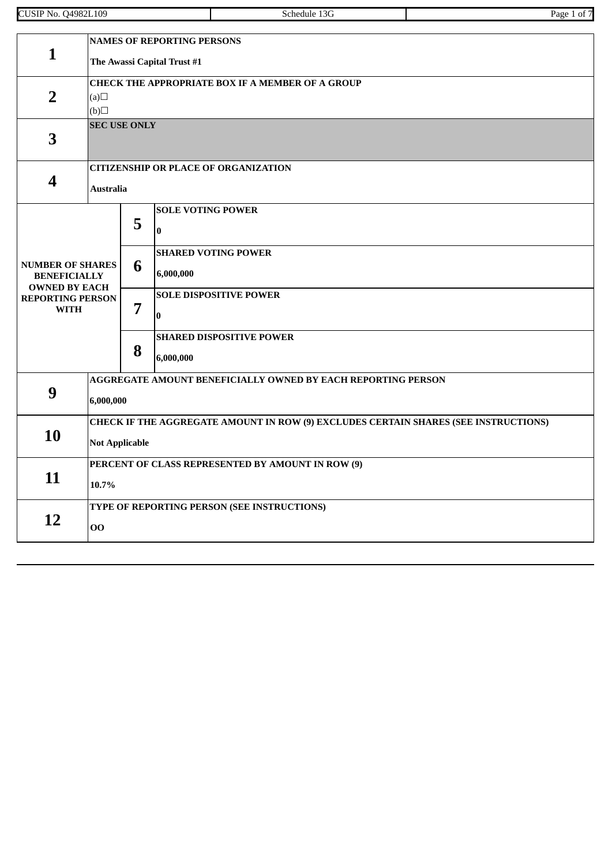| 109<br>.)4982I<br>71 דר<br>'NO.<br>ധാഥ<br>. .<br>$\mathbf{1}$ | .chadula<br>$\cdot$ | Page |
|---------------------------------------------------------------|---------------------|------|

|                                             | <b>NAMES OF REPORTING PERSONS</b>                                                   |                             |                                                              |  |  |  |
|---------------------------------------------|-------------------------------------------------------------------------------------|-----------------------------|--------------------------------------------------------------|--|--|--|
| $\mathbf{1}$                                |                                                                                     | The Awassi Capital Trust #1 |                                                              |  |  |  |
|                                             |                                                                                     |                             | <b>CHECK THE APPROPRIATE BOX IF A MEMBER OF A GROUP</b>      |  |  |  |
| $\overline{2}$                              | (a)                                                                                 |                             |                                                              |  |  |  |
|                                             | (b)                                                                                 |                             |                                                              |  |  |  |
|                                             |                                                                                     | <b>SEC USE ONLY</b>         |                                                              |  |  |  |
| 3                                           |                                                                                     |                             |                                                              |  |  |  |
|                                             |                                                                                     |                             |                                                              |  |  |  |
| $\overline{\mathbf{4}}$                     |                                                                                     |                             | <b>CITIZENSHIP OR PLACE OF ORGANIZATION</b>                  |  |  |  |
|                                             | <b>Australia</b>                                                                    |                             |                                                              |  |  |  |
|                                             |                                                                                     |                             | <b>SOLE VOTING POWER</b>                                     |  |  |  |
|                                             |                                                                                     | 5                           | $\bf{0}$                                                     |  |  |  |
|                                             |                                                                                     |                             |                                                              |  |  |  |
| <b>NUMBER OF SHARES</b>                     |                                                                                     |                             | <b>SHARED VOTING POWER</b>                                   |  |  |  |
| <b>BENEFICIALLY</b><br><b>OWNED BY EACH</b> |                                                                                     | 6                           | 6,000,000                                                    |  |  |  |
| <b>REPORTING PERSON</b>                     |                                                                                     |                             | <b>SOLE DISPOSITIVE POWER</b>                                |  |  |  |
| <b>WITH</b>                                 |                                                                                     | 7                           | 0                                                            |  |  |  |
|                                             |                                                                                     |                             | <b>SHARED DISPOSITIVE POWER</b>                              |  |  |  |
|                                             |                                                                                     | 8                           | 6,000,000                                                    |  |  |  |
|                                             |                                                                                     |                             | AGGREGATE AMOUNT BENEFICIALLY OWNED BY EACH REPORTING PERSON |  |  |  |
| 9                                           |                                                                                     |                             |                                                              |  |  |  |
| 6,000,000                                   |                                                                                     |                             |                                                              |  |  |  |
|                                             | CHECK IF THE AGGREGATE AMOUNT IN ROW (9) EXCLUDES CERTAIN SHARES (SEE INSTRUCTIONS) |                             |                                                              |  |  |  |
| 10                                          | <b>Not Applicable</b>                                                               |                             |                                                              |  |  |  |
|                                             | PERCENT OF CLASS REPRESENTED BY AMOUNT IN ROW (9)                                   |                             |                                                              |  |  |  |
| 11                                          |                                                                                     |                             |                                                              |  |  |  |
|                                             | 10.7%                                                                               |                             |                                                              |  |  |  |
| 12                                          |                                                                                     |                             | TYPE OF REPORTING PERSON (SEE INSTRUCTIONS)                  |  |  |  |
|                                             | 00                                                                                  |                             |                                                              |  |  |  |
|                                             |                                                                                     |                             |                                                              |  |  |  |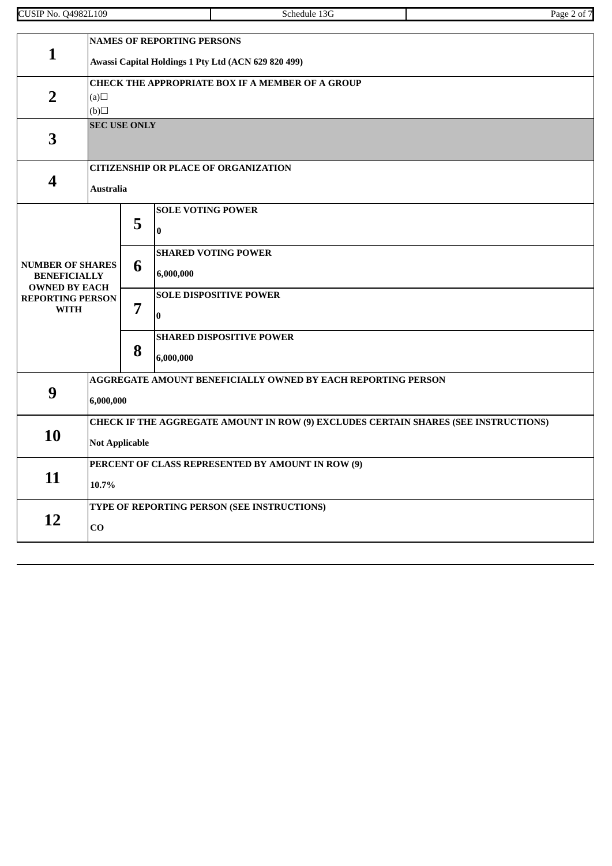| .109<br>$1498$ <sup>27</sup><br>CUSIP<br>N <sub>0</sub> . | <b>Chedule</b><br>۰л.<br>$\begin{array}{cccccccccccccc} \multicolumn{4}{c}{} & \multicolumn{4}{c}{} & \multicolumn{4}{c}{} & \multicolumn{4}{c}{} & \multicolumn{4}{c}{} & \multicolumn{4}{c}{} & \multicolumn{4}{c}{} & \multicolumn{4}{c}{} & \multicolumn{4}{c}{} & \multicolumn{4}{c}{} & \multicolumn{4}{c}{} & \multicolumn{4}{c}{} & \multicolumn{4}{c}{} & \multicolumn{4}{c}{} & \multicolumn{4}{c}{} & \multicolumn{4}{c}{} & \multicolumn{4}{c}{} & \multicolumn{4}{c}{} & \multicolumn{4}{c}{} & \$ | Page<br>OТ<br>$\sim$<br>. . |
|-----------------------------------------------------------|-----------------------------------------------------------------------------------------------------------------------------------------------------------------------------------------------------------------------------------------------------------------------------------------------------------------------------------------------------------------------------------------------------------------------------------------------------------------------------------------------------------------|-----------------------------|
|                                                           |                                                                                                                                                                                                                                                                                                                                                                                                                                                                                                                 |                             |

|                                                                                                                  | <b>NAMES OF REPORTING PERSONS</b>                                                                            |                                                         |                                                              |  |  |  |
|------------------------------------------------------------------------------------------------------------------|--------------------------------------------------------------------------------------------------------------|---------------------------------------------------------|--------------------------------------------------------------|--|--|--|
| $\mathbf{1}$                                                                                                     |                                                                                                              | Awassi Capital Holdings 1 Pty Ltd (ACN 629 820 499)     |                                                              |  |  |  |
| $\overline{2}$                                                                                                   | (a)<br>(b)                                                                                                   | <b>CHECK THE APPROPRIATE BOX IF A MEMBER OF A GROUP</b> |                                                              |  |  |  |
| $\overline{3}$                                                                                                   | <b>SEC USE ONLY</b>                                                                                          |                                                         |                                                              |  |  |  |
| $\overline{\mathbf{4}}$                                                                                          | <b>Australia</b>                                                                                             |                                                         | <b>CITIZENSHIP OR PLACE OF ORGANIZATION</b>                  |  |  |  |
|                                                                                                                  |                                                                                                              | 5                                                       | <b>SOLE VOTING POWER</b><br>$\bf{0}$                         |  |  |  |
| <b>NUMBER OF SHARES</b><br><b>BENEFICIALLY</b><br><b>OWNED BY EACH</b><br><b>REPORTING PERSON</b><br><b>WITH</b> |                                                                                                              | 6                                                       | <b>SHARED VOTING POWER</b><br>6,000,000                      |  |  |  |
|                                                                                                                  |                                                                                                              | 7                                                       | <b>SOLE DISPOSITIVE POWER</b><br>$\bf{0}$                    |  |  |  |
|                                                                                                                  |                                                                                                              | 8                                                       | <b>SHARED DISPOSITIVE POWER</b><br>6,000,000                 |  |  |  |
| 9                                                                                                                | 6,000,000                                                                                                    |                                                         | AGGREGATE AMOUNT BENEFICIALLY OWNED BY EACH REPORTING PERSON |  |  |  |
| 10                                                                                                               | CHECK IF THE AGGREGATE AMOUNT IN ROW (9) EXCLUDES CERTAIN SHARES (SEE INSTRUCTIONS)<br><b>Not Applicable</b> |                                                         |                                                              |  |  |  |
| 11                                                                                                               | PERCENT OF CLASS REPRESENTED BY AMOUNT IN ROW (9)<br>10.7%                                                   |                                                         |                                                              |  |  |  |
| 12                                                                                                               | $\mathbf{C}\mathbf{O}$                                                                                       |                                                         | TYPE OF REPORTING PERSON (SEE INSTRUCTIONS)                  |  |  |  |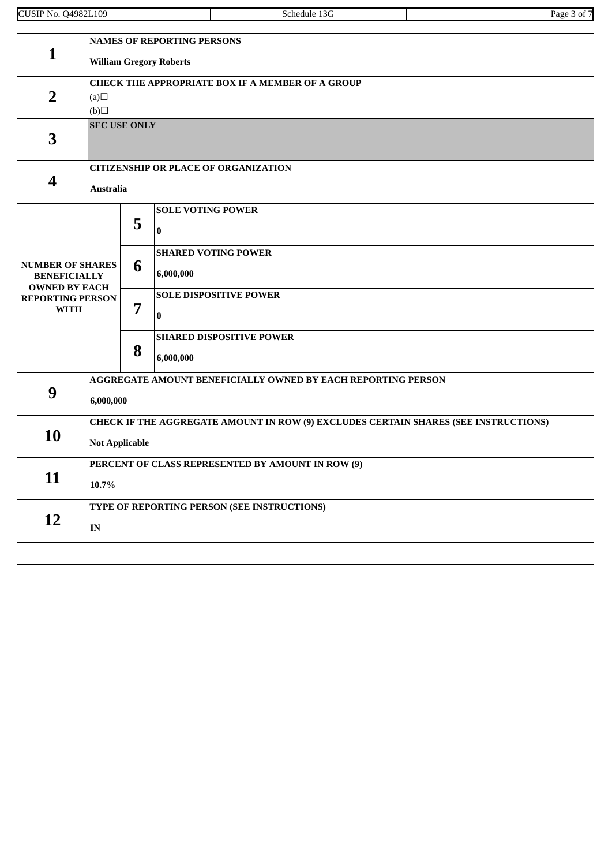| 109<br>.)4982I<br>ז דר<br>'NO.<br>ധാഥ<br>. .<br>$\cdots$ | .chadula<br>$\cdot$ | Page |
|----------------------------------------------------------|---------------------|------|

| <b>NAMES OF REPORTING PERSONS</b>                                      |                                                                                     |                                |                                                         |  |  |  |
|------------------------------------------------------------------------|-------------------------------------------------------------------------------------|--------------------------------|---------------------------------------------------------|--|--|--|
| $\mathbf{1}$                                                           |                                                                                     | <b>William Gregory Roberts</b> |                                                         |  |  |  |
|                                                                        |                                                                                     |                                | <b>CHECK THE APPROPRIATE BOX IF A MEMBER OF A GROUP</b> |  |  |  |
| $\overline{2}$                                                         | (a)                                                                                 |                                |                                                         |  |  |  |
|                                                                        | (b)                                                                                 | <b>SEC USE ONLY</b>            |                                                         |  |  |  |
| 3                                                                      |                                                                                     |                                |                                                         |  |  |  |
|                                                                        |                                                                                     |                                |                                                         |  |  |  |
|                                                                        |                                                                                     |                                | <b>CITIZENSHIP OR PLACE OF ORGANIZATION</b>             |  |  |  |
| 4                                                                      | <b>Australia</b>                                                                    |                                |                                                         |  |  |  |
|                                                                        |                                                                                     |                                | <b>SOLE VOTING POWER</b>                                |  |  |  |
|                                                                        |                                                                                     | 5                              | $\bf{0}$                                                |  |  |  |
|                                                                        |                                                                                     |                                | <b>SHARED VOTING POWER</b>                              |  |  |  |
| <b>NUMBER OF SHARES</b><br><b>BENEFICIALLY</b><br><b>OWNED BY EACH</b> |                                                                                     | 6                              | 6,000,000                                               |  |  |  |
| <b>REPORTING PERSON</b>                                                |                                                                                     |                                | <b>SOLE DISPOSITIVE POWER</b>                           |  |  |  |
| <b>WITH</b>                                                            |                                                                                     | 7                              | $\bf{0}$                                                |  |  |  |
|                                                                        |                                                                                     |                                | <b>SHARED DISPOSITIVE POWER</b>                         |  |  |  |
|                                                                        |                                                                                     | 8                              | 6,000,000                                               |  |  |  |
|                                                                        | AGGREGATE AMOUNT BENEFICIALLY OWNED BY EACH REPORTING PERSON                        |                                |                                                         |  |  |  |
|                                                                        | 9<br>6,000,000                                                                      |                                |                                                         |  |  |  |
|                                                                        | CHECK IF THE AGGREGATE AMOUNT IN ROW (9) EXCLUDES CERTAIN SHARES (SEE INSTRUCTIONS) |                                |                                                         |  |  |  |
| 10<br><b>Not Applicable</b>                                            |                                                                                     |                                |                                                         |  |  |  |
|                                                                        | PERCENT OF CLASS REPRESENTED BY AMOUNT IN ROW (9)                                   |                                |                                                         |  |  |  |
|                                                                        | 11<br>10.7%                                                                         |                                |                                                         |  |  |  |
|                                                                        |                                                                                     |                                | TYPE OF REPORTING PERSON (SEE INSTRUCTIONS)             |  |  |  |
| 12                                                                     | $\mathbf{IN}$                                                                       |                                |                                                         |  |  |  |
|                                                                        |                                                                                     |                                |                                                         |  |  |  |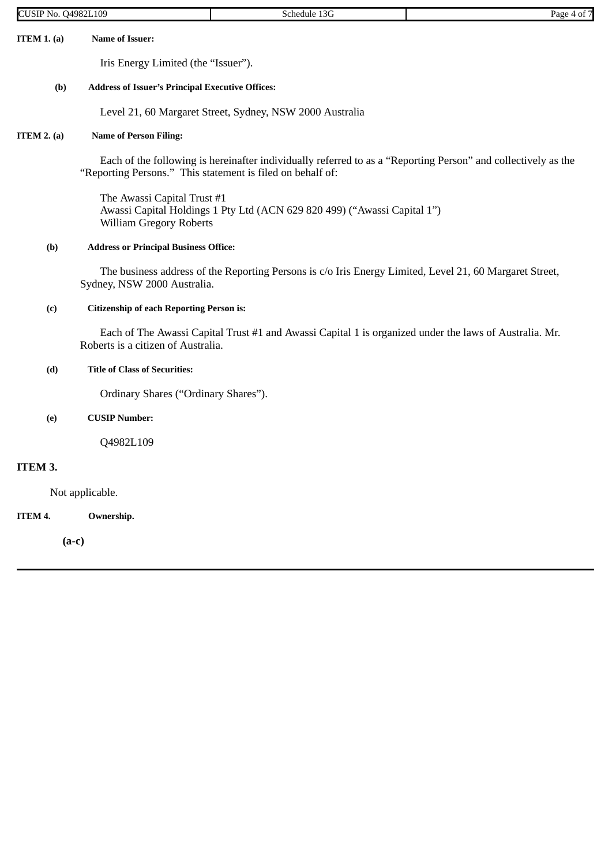| <b>CUSIP No. Q4982L109</b> |                                                               | Schedule 13G                                                                                                  | Page 4 of 7 |
|----------------------------|---------------------------------------------------------------|---------------------------------------------------------------------------------------------------------------|-------------|
| ITEM $1. (a)$              | <b>Name of Issuer:</b>                                        |                                                                                                               |             |
|                            | Iris Energy Limited (the "Issuer").                           |                                                                                                               |             |
| (b)                        | <b>Address of Issuer's Principal Executive Offices:</b>       |                                                                                                               |             |
|                            |                                                               | Level 21, 60 Margaret Street, Sydney, NSW 2000 Australia                                                      |             |
| ITEM $2.$ (a)              | <b>Name of Person Filing:</b>                                 |                                                                                                               |             |
|                            | "Reporting Persons." This statement is filed on behalf of:    | Each of the following is hereinafter individually referred to as a "Reporting Person" and collectively as the |             |
|                            | The Awassi Capital Trust #1<br><b>William Gregory Roberts</b> | Awassi Capital Holdings 1 Pty Ltd (ACN 629 820 499) ("Awassi Capital 1")                                      |             |
| (b)                        | <b>Address or Principal Business Office:</b>                  |                                                                                                               |             |
|                            | Sydney, NSW 2000 Australia.                                   | The business address of the Reporting Persons is c/o Iris Energy Limited, Level 21, 60 Margaret Street,       |             |
| (c)                        | <b>Citizenship of each Reporting Person is:</b>               |                                                                                                               |             |
|                            | Roberts is a citizen of Australia.                            | Each of The Awassi Capital Trust #1 and Awassi Capital 1 is organized under the laws of Australia. Mr.        |             |

## **(d) Title of Class of Securities:**

Ordinary Shares ("Ordinary Shares").

**(e) CUSIP Number:**

Q4982L109

## **ITEM 3.**

Not applicable.

**ITEM 4. Ownership.**

**(a-c)**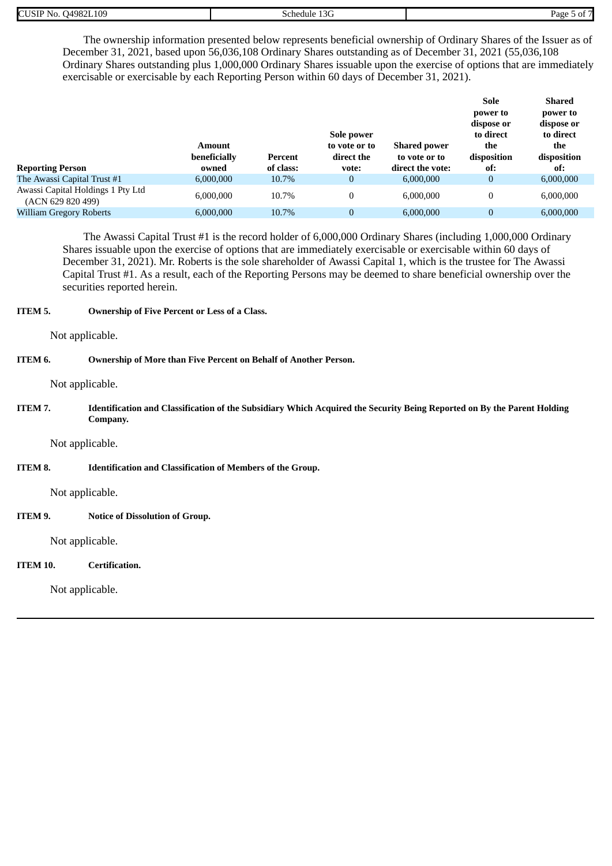| 04982L109<br><b>CUSI</b><br>NO. | ≘hedule<br>יי | Page |
|---------------------------------|---------------|------|

The ownership information presented below represents beneficial ownership of Ordinary Shares of the Issuer as of December 31, 2021, based upon 56,036,108 Ordinary Shares outstanding as of December 31, 2021 (55,036,108 Ordinary Shares outstanding plus 1,000,000 Ordinary Shares issuable upon the exercise of options that are immediately exercisable or exercisable by each Reporting Person within 60 days of December 31, 2021).

| <b>Reporting Person</b>                                | <b>Amount</b><br>beneficially<br>owned | Percent<br>of class: | Sole power<br>to vote or to<br>direct the<br>vote: | <b>Shared power</b><br>to vote or to<br>direct the vote: | Sole<br>power to<br>dispose or<br>to direct<br>the<br>disposition<br>of: | Shared<br>power to<br>dispose or<br>to direct<br>the<br>disposition<br>of: |
|--------------------------------------------------------|----------------------------------------|----------------------|----------------------------------------------------|----------------------------------------------------------|--------------------------------------------------------------------------|----------------------------------------------------------------------------|
| The Awassi Capital Trust #1                            | 6,000,000                              | 10.7%                | 0                                                  | 6,000,000                                                | 0                                                                        | 6,000,000                                                                  |
| Awassi Capital Holdings 1 Pty Ltd<br>(ACN 629 820 499) | 6,000,000                              | 10.7%                | 0                                                  | 6.000.000                                                | $\boldsymbol{0}$                                                         | 6,000,000                                                                  |
| <b>William Gregory Roberts</b>                         | 6,000,000                              | 10.7%                | $\overline{0}$                                     | 6.000,000                                                | $\overline{0}$                                                           | 6,000,000                                                                  |

The Awassi Capital Trust #1 is the record holder of 6,000,000 Ordinary Shares (including 1,000,000 Ordinary Shares issuable upon the exercise of options that are immediately exercisable or exercisable within 60 days of December 31, 2021). Mr. Roberts is the sole shareholder of Awassi Capital 1, which is the trustee for The Awassi Capital Trust #1. As a result, each of the Reporting Persons may be deemed to share beneficial ownership over the securities reported herein.

### **ITEM 5. Ownership of Five Percent or Less of a Class.**

Not applicable.

## **ITEM 6. Ownership of More than Five Percent on Behalf of Another Person.**

Not applicable.

ITEM 7. Identification and Classification of the Subsidiary Which Acquired the Security Being Reported on By the Parent Holding **Company.**

Not applicable.

**ITEM 8. Identification and Classification of Members of the Group.**

Not applicable.

**ITEM 9. Notice of Dissolution of Group.**

Not applicable.

## **ITEM 10. Certification.**

Not applicable.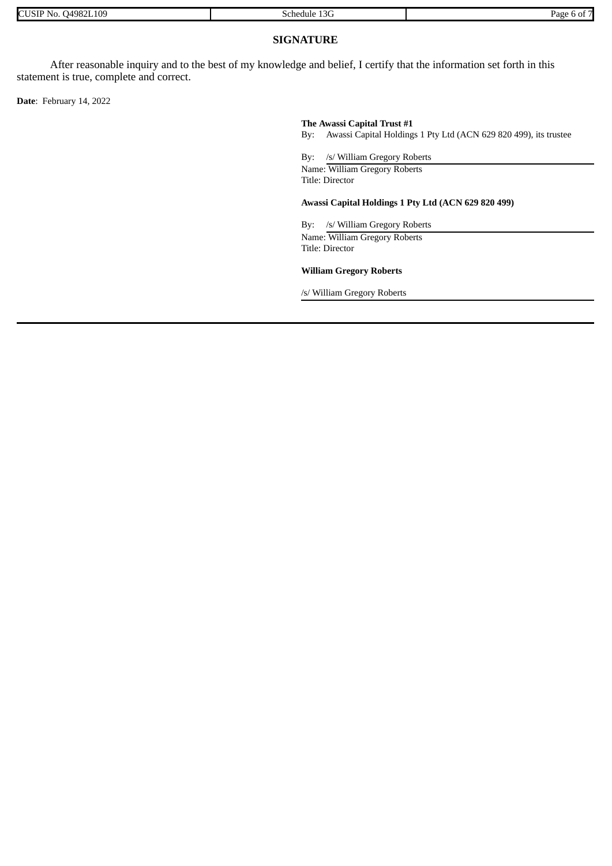| 04982L109<br><b>CUSI</b><br>-No | $\overline{2}$<br>schedule<br>13G | Page<br>. |
|---------------------------------|-----------------------------------|-----------|

## **SIGNATURE**

After reasonable inquiry and to the best of my knowledge and belief, I certify that the information set forth in this statement is true, complete and correct.

**Date**: February 14, 2022

#### **The Awassi Capital Trust #1**

By: Awassi Capital Holdings 1 Pty Ltd (ACN 629 820 499), its trustee

By: /s/ William Gregory Roberts

Name: William Gregory Roberts Title: Director

#### **Awassi Capital Holdings 1 Pty Ltd (ACN 629 820 499)**

By: /s/ William Gregory Roberts Name: William Gregory Roberts Title: Director

#### **William Gregory Roberts**

/s/ William Gregory Roberts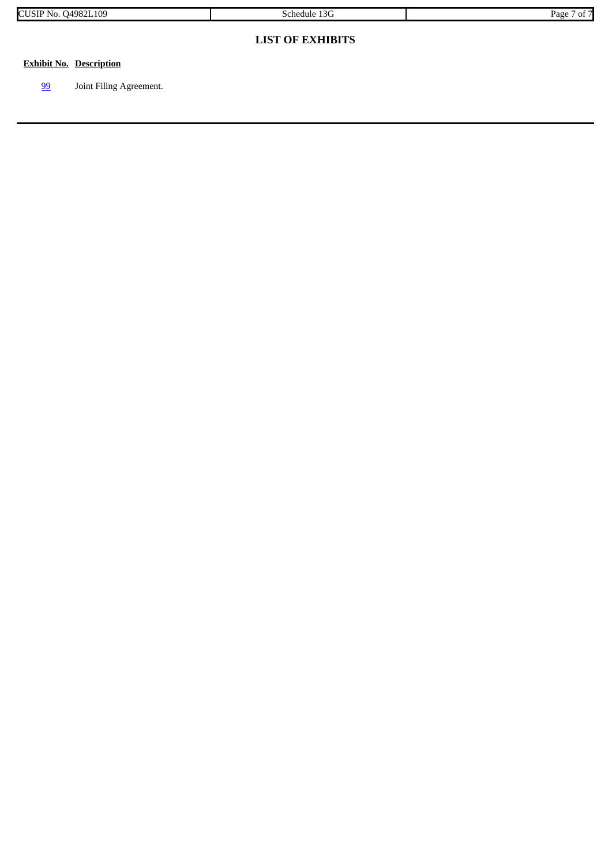|  | 109<br>14982<br>IN O<br>ЭU<br>11.7.7 | 1 $\cap$ $\cap$<br>chedule<br>⊤ ال⊓ب<br>71 | Page<br> |
|--|--------------------------------------|--------------------------------------------|----------|
|--|--------------------------------------|--------------------------------------------|----------|

## **LIST OF EXHIBITS**

## **Exhibit No. Description**

[99](#page-8-0) Joint Filing Agreement.